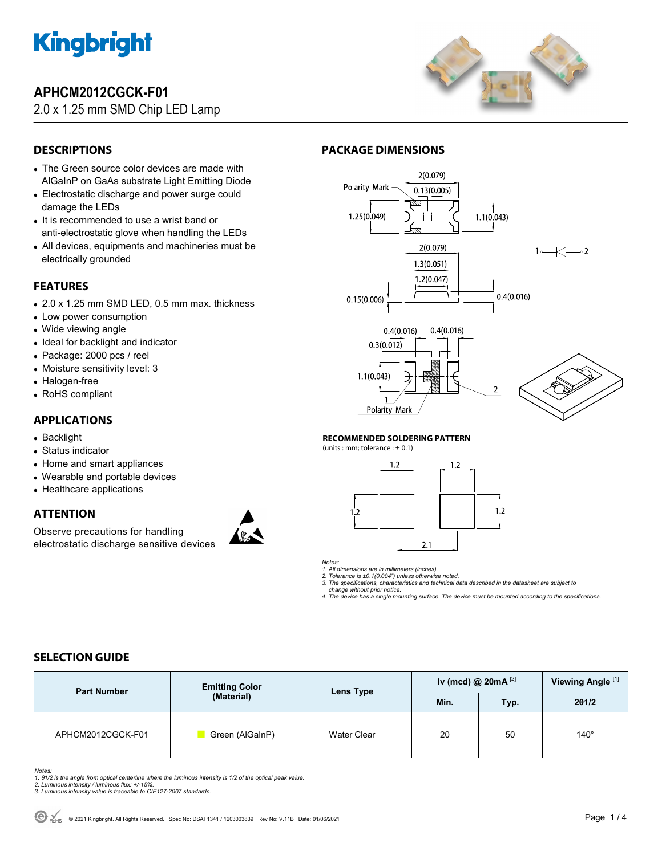

# **APHCM2012CGCK-F01**

# 2.0 x 1.25 mm SMD Chip LED Lamp



# **DESCRIPTIONS**

- The Green source color devices are made with AlGaInP on GaAs substrate Light Emitting Diode
- Electrostatic discharge and power surge could damage the LEDs
- It is recommended to use a wrist band or anti-electrostatic glove when handling the LEDs
- All devices, equipments and machineries must be electrically grounded

## **FEATURES**

- 2.0 x 1.25 mm SMD LED, 0.5 mm max. thickness
- Low power consumption
- Wide viewing angle
- Ideal for backlight and indicator
- Package: 2000 pcs / reel
- Moisture sensitivity level: 3
- Halogen-free
- RoHS compliant

## **APPLICATIONS**

- Backlight
- Status indicator
- Home and smart appliances
- Wearable and portable devices
- Healthcare applications

### **ATTENTION**

Observe precautions for handling electrostatic discharge sensitive devices



# **PACKAGE DIMENSIONS**



#### **RECOMMENDED SOLDERING PATTERN**

(units : mm; tolerance :  $\pm$  0.1)





*1. All dimensions are in millimeters (inches). 2. Tolerance is ±0.1(0.004") unless otherwise noted.* 

*3. The specifications, characteristics and technical data described in the datasheet are subject to change without prior notice.* 

*4. The device has a single mounting surface. The device must be mounted according to the specifications.* 

# **SELECTION GUIDE**

| <b>Part Number</b> | <b>Emitting Color</b><br>(Material) | Lens Type   | Iv (mcd) @ $20mA$ <sup>[2]</sup> |      | Viewing Angle <sup>[1]</sup> |
|--------------------|-------------------------------------|-------------|----------------------------------|------|------------------------------|
|                    |                                     |             | Min.                             | Typ. | 201/2                        |
| APHCM2012CGCK-F01  | Green (AlGaInP)                     | Water Clear | 20                               | 50   | $140^\circ$                  |

Notes:<br>1. 81/2 is the angle from optical centerline where the luminous intensity is 1/2 of the optical peak value.<br>2. Luminous intensity / luminous flux: +/-15%.<br>3. Luminous intensity value is traceable to CIE127-2007 stan

- 
-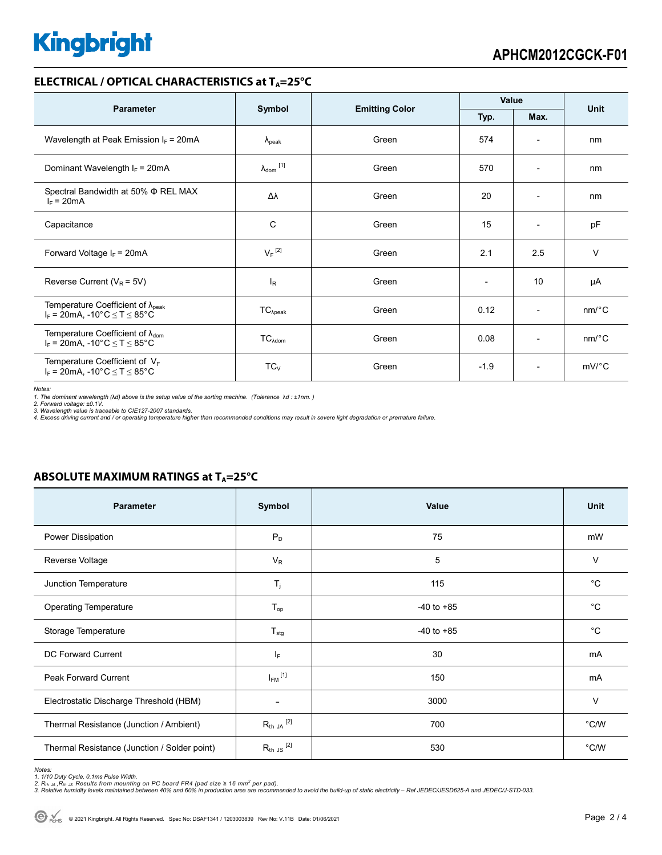# **Kingbright**

#### **ELECTRICAL / OPTICAL CHARACTERISTICS at T<sub>A</sub>=25°C**

| <b>Parameter</b>                                                                              | Symbol                       |                       | Value                    |                              | <b>Unit</b>           |
|-----------------------------------------------------------------------------------------------|------------------------------|-----------------------|--------------------------|------------------------------|-----------------------|
|                                                                                               |                              | <b>Emitting Color</b> | Typ.                     | Max.                         |                       |
| Wavelength at Peak Emission $I_F$ = 20mA                                                      | $\lambda_{\rm peak}$         | Green                 | 574                      | $\overline{\phantom{a}}$     | nm                    |
| Dominant Wavelength $I_F = 20 \text{mA}$                                                      | $\lambda_{\mathsf{dom}}$ [1] | Green                 | 570                      | $\qquad \qquad \blacksquare$ | nm                    |
| Spectral Bandwidth at 50% $\Phi$ REL MAX<br>$I_F = 20mA$                                      | Δλ                           | Green                 | 20                       | $\overline{\phantom{a}}$     | nm                    |
| Capacitance                                                                                   | С                            | Green                 | 15                       | $\overline{\phantom{a}}$     | pF                    |
| Forward Voltage $I_F = 20mA$                                                                  | $V_F$ <sup>[2]</sup>         | Green                 | 2.1                      | 2.5                          | $\vee$                |
| Reverse Current ( $V_R$ = 5V)                                                                 | $I_R$                        | Green                 | $\overline{\phantom{0}}$ | 10                           | μA                    |
| Temperature Coefficient of $\lambda_{\text{peak}}$<br>$I_F$ = 20mA, -10°C $\leq T \leq 85$ °C | $TC_{\lambda peak}$          | Green                 | 0.12                     | $\overline{\phantom{a}}$     | nm/°C                 |
| Temperature Coefficient of $\lambda_{\text{dom}}$<br>$I_F = 20$ mA, -10°C $\le T \le 85$ °C   | $TC_{\text{Adom}}$           | Green                 | 0.08                     | $\overline{\phantom{0}}$     | $nm$ <sup>o</sup> $C$ |
| Temperature Coefficient of $V_F$<br>$I_F$ = 20mA, -10°C $\leq T \leq 85$ °C                   | $TC_{V}$                     | Green                 | $-1.9$                   | $\overline{\phantom{a}}$     | $mV$ °C               |

*Notes:* 

1. The dominant wavelength (λd) above is the setup value of the sorting machine. (Tolerance λd : ±1nm. )<br>2. Forward voltage: ±0.1V.<br>3. Wavelength value is traceable to CIE127-2007 standards.<br>4. Excess driving current and

### **ABSOLUTE MAXIMUM RATINGS at T<sub>A</sub>=25°C**

| <b>Parameter</b>                             | Symbol               | <b>Value</b>   | <b>Unit</b>    |
|----------------------------------------------|----------------------|----------------|----------------|
| Power Dissipation                            | $P_D$                | 75             | mW             |
| Reverse Voltage                              | $V_R$                | 5              | V              |
| Junction Temperature                         | $T_j$                | 115            | $^{\circ}C$    |
| <b>Operating Temperature</b>                 | $T_{op}$             | $-40$ to $+85$ | $^{\circ}C$    |
| Storage Temperature                          | $T_{\text{stg}}$     | $-40$ to $+85$ | $^{\circ}C$    |
| <b>DC Forward Current</b>                    | $I_F$                | 30             | mA             |
| <b>Peak Forward Current</b>                  | $I_{FM}$ [1]         | 150            | mA             |
| Electrostatic Discharge Threshold (HBM)      | -                    | 3000           | $\vee$         |
| Thermal Resistance (Junction / Ambient)      | $R_{th}$ JA $^{[2]}$ | 700            | °C/W           |
| Thermal Resistance (Junction / Solder point) | $R_{th}$ JS $^{[2]}$ | 530            | $^{\circ}$ C/W |

Notes:<br>1. 1/10 Duty Cycle, 0.1ms Pulse Width.<br>2. R<sub>th JA</sub> ,R<sub>th JS</sub> Results from mounting on PC board FR4 (pad size ≥ 16 mm<sup>2</sup> per pad).<br>3. Relative humidity levels maintained between 40% and 60% in production area are re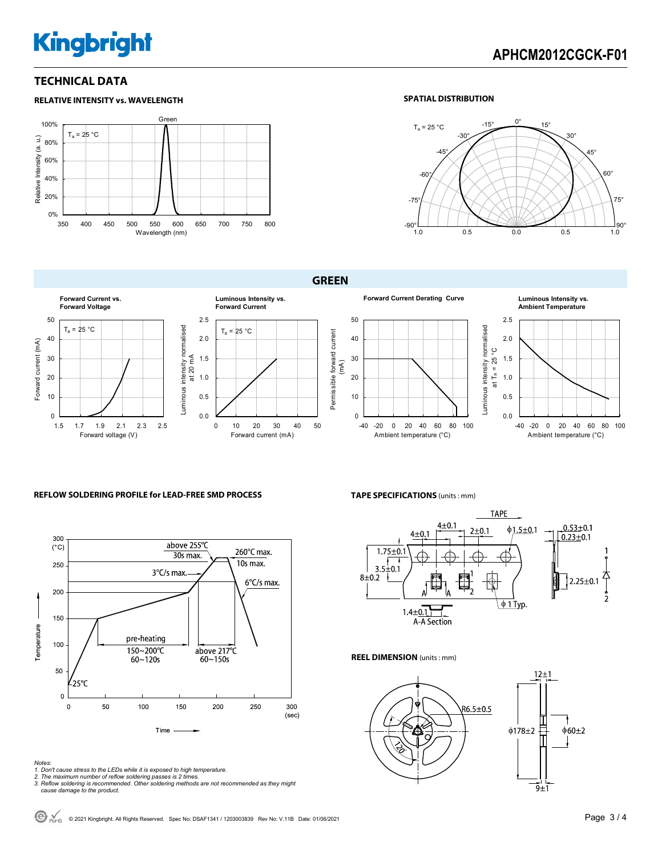# **Kingbright**

**RELATIVE INTENSITY vs. WAVELENGTH**

### **TECHNICAL DATA**

#### Green 100%  $T_a = 25 °C$  $\widehat{\mathsf{u}}$ Relative Intensity (a. u.) 80% Relative Intensity (a. 60% 40% 20% 0% 350 400 450 500 550 600 650 700 750 800 Wavelength (nm)

#### **SPATIAL DISTRIBUTION**



**GREEN** 





#### **REFLOW SOLDERING PROFILE for LEAD-FREE SMD PROCESS**



#### **TAPE SPECIFICATIONS** (units : mm)



#### **REEL DIMENSION** (units : mm)



- 
- 
- Notes:<br>1. Don't cause stress to the LEDs while it is exposed to high temperature.<br>2. The maximum number of reflow soldering passes is 2 times.<br>3. Reflow soldering is recommended. Other soldering methods are not recommended